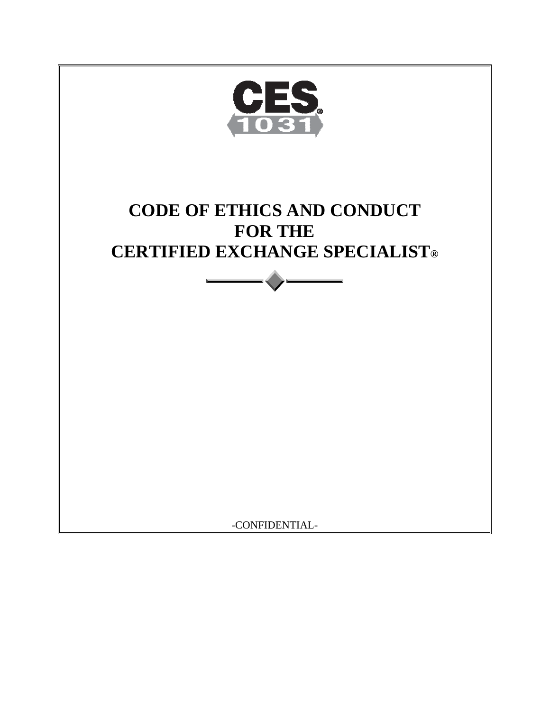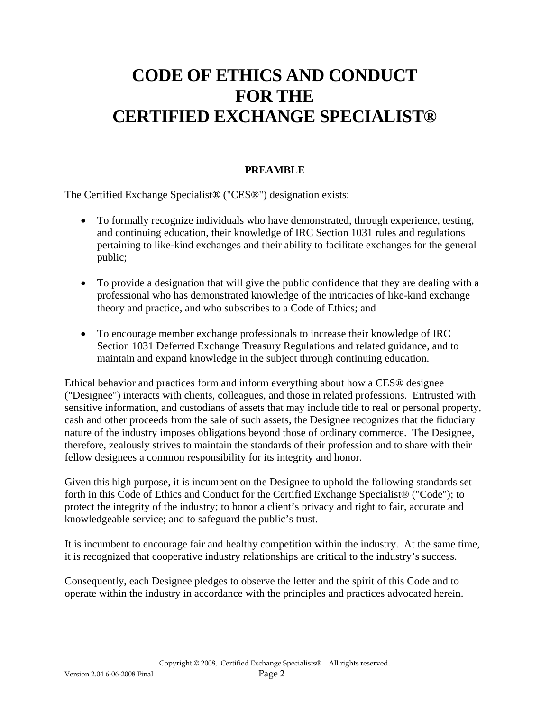# **CODE OF ETHICS AND CONDUCT FOR THE CERTIFIED EXCHANGE SPECIALIST®**

# **PREAMBLE**

The Certified Exchange Specialist® ("CES®") designation exists:

- To formally recognize individuals who have demonstrated, through experience, testing, and continuing education, their knowledge of IRC Section 1031 rules and regulations pertaining to like-kind exchanges and their ability to facilitate exchanges for the general public;
- To provide a designation that will give the public confidence that they are dealing with a professional who has demonstrated knowledge of the intricacies of like-kind exchange theory and practice, and who subscribes to a Code of Ethics; and
- To encourage member exchange professionals to increase their knowledge of IRC Section 1031 Deferred Exchange Treasury Regulations and related guidance, and to maintain and expand knowledge in the subject through continuing education.

Ethical behavior and practices form and inform everything about how a CES® designee ("Designee") interacts with clients, colleagues, and those in related professions. Entrusted with sensitive information, and custodians of assets that may include title to real or personal property, cash and other proceeds from the sale of such assets, the Designee recognizes that the fiduciary nature of the industry imposes obligations beyond those of ordinary commerce. The Designee, therefore, zealously strives to maintain the standards of their profession and to share with their fellow designees a common responsibility for its integrity and honor.

Given this high purpose, it is incumbent on the Designee to uphold the following standards set forth in this Code of Ethics and Conduct for the Certified Exchange Specialist® ("Code"); to protect the integrity of the industry; to honor a client's privacy and right to fair, accurate and knowledgeable service; and to safeguard the public's trust.

It is incumbent to encourage fair and healthy competition within the industry. At the same time, it is recognized that cooperative industry relationships are critical to the industry's success.

Consequently, each Designee pledges to observe the letter and the spirit of this Code and to operate within the industry in accordance with the principles and practices advocated herein.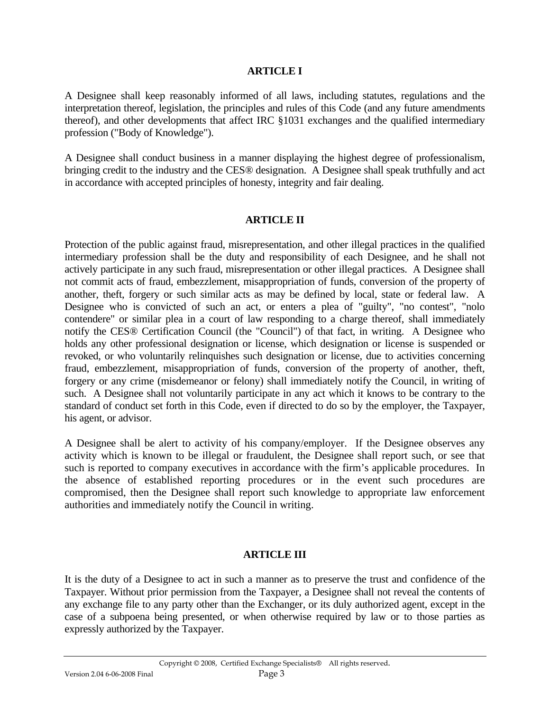#### **ARTICLE I**

A Designee shall keep reasonably informed of all laws, including statutes, regulations and the interpretation thereof, legislation, the principles and rules of this Code (and any future amendments thereof), and other developments that affect IRC §1031 exchanges and the qualified intermediary profession ("Body of Knowledge").

A Designee shall conduct business in a manner displaying the highest degree of professionalism, bringing credit to the industry and the CES® designation. A Designee shall speak truthfully and act in accordance with accepted principles of honesty, integrity and fair dealing.

#### **ARTICLE II**

Protection of the public against fraud, misrepresentation, and other illegal practices in the qualified intermediary profession shall be the duty and responsibility of each Designee, and he shall not actively participate in any such fraud, misrepresentation or other illegal practices. A Designee shall not commit acts of fraud, embezzlement, misappropriation of funds, conversion of the property of another, theft, forgery or such similar acts as may be defined by local, state or federal law. A Designee who is convicted of such an act, or enters a plea of "guilty", "no contest", "nolo contendere" or similar plea in a court of law responding to a charge thereof, shall immediately notify the CES® Certification Council (the "Council") of that fact, in writing. A Designee who holds any other professional designation or license, which designation or license is suspended or revoked, or who voluntarily relinquishes such designation or license, due to activities concerning fraud, embezzlement, misappropriation of funds, conversion of the property of another, theft, forgery or any crime (misdemeanor or felony) shall immediately notify the Council, in writing of such. A Designee shall not voluntarily participate in any act which it knows to be contrary to the standard of conduct set forth in this Code, even if directed to do so by the employer, the Taxpayer, his agent, or advisor.

A Designee shall be alert to activity of his company/employer. If the Designee observes any activity which is known to be illegal or fraudulent, the Designee shall report such, or see that such is reported to company executives in accordance with the firm's applicable procedures. In the absence of established reporting procedures or in the event such procedures are compromised, then the Designee shall report such knowledge to appropriate law enforcement authorities and immediately notify the Council in writing.

#### **ARTICLE III**

It is the duty of a Designee to act in such a manner as to preserve the trust and confidence of the Taxpayer. Without prior permission from the Taxpayer, a Designee shall not reveal the contents of any exchange file to any party other than the Exchanger, or its duly authorized agent, except in the case of a subpoena being presented, or when otherwise required by law or to those parties as expressly authorized by the Taxpayer.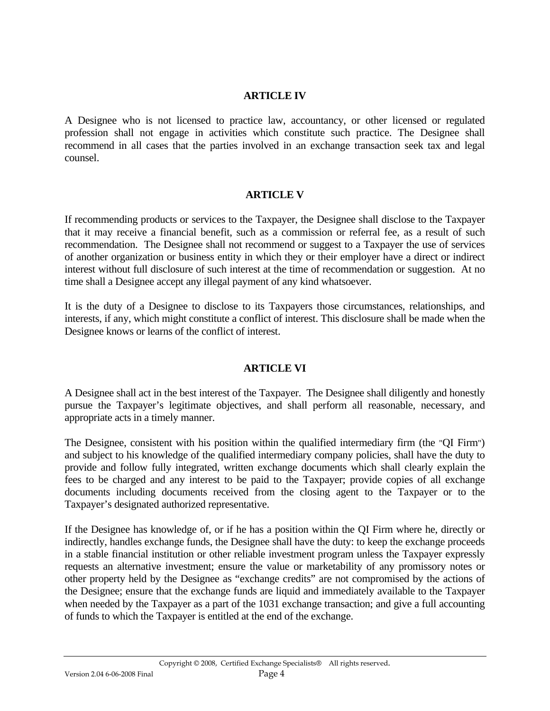#### **ARTICLE IV**

A Designee who is not licensed to practice law, accountancy, or other licensed or regulated profession shall not engage in activities which constitute such practice. The Designee shall recommend in all cases that the parties involved in an exchange transaction seek tax and legal counsel.

#### **ARTICLE V**

If recommending products or services to the Taxpayer, the Designee shall disclose to the Taxpayer that it may receive a financial benefit, such as a commission or referral fee, as a result of such recommendation. The Designee shall not recommend or suggest to a Taxpayer the use of services of another organization or business entity in which they or their employer have a direct or indirect interest without full disclosure of such interest at the time of recommendation or suggestion. At no time shall a Designee accept any illegal payment of any kind whatsoever.

It is the duty of a Designee to disclose to its Taxpayers those circumstances, relationships, and interests, if any, which might constitute a conflict of interest. This disclosure shall be made when the Designee knows or learns of the conflict of interest.

### **ARTICLE VI**

A Designee shall act in the best interest of the Taxpayer. The Designee shall diligently and honestly pursue the Taxpayer's legitimate objectives, and shall perform all reasonable, necessary, and appropriate acts in a timely manner.

The Designee, consistent with his position within the qualified intermediary firm (the "QI Firm") and subject to his knowledge of the qualified intermediary company policies, shall have the duty to provide and follow fully integrated, written exchange documents which shall clearly explain the fees to be charged and any interest to be paid to the Taxpayer; provide copies of all exchange documents including documents received from the closing agent to the Taxpayer or to the Taxpayer's designated authorized representative.

If the Designee has knowledge of, or if he has a position within the QI Firm where he, directly or indirectly, handles exchange funds, the Designee shall have the duty: to keep the exchange proceeds in a stable financial institution or other reliable investment program unless the Taxpayer expressly requests an alternative investment; ensure the value or marketability of any promissory notes or other property held by the Designee as "exchange credits" are not compromised by the actions of the Designee; ensure that the exchange funds are liquid and immediately available to the Taxpayer when needed by the Taxpayer as a part of the 1031 exchange transaction; and give a full accounting of funds to which the Taxpayer is entitled at the end of the exchange.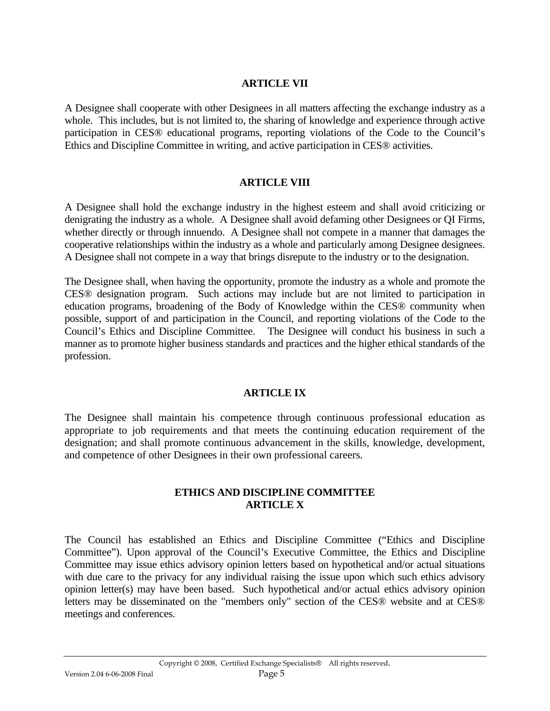#### **ARTICLE VII**

A Designee shall cooperate with other Designees in all matters affecting the exchange industry as a whole. This includes, but is not limited to, the sharing of knowledge and experience through active participation in CES® educational programs, reporting violations of the Code to the Council's Ethics and Discipline Committee in writing, and active participation in CES® activities.

#### **ARTICLE VIII**

A Designee shall hold the exchange industry in the highest esteem and shall avoid criticizing or denigrating the industry as a whole. A Designee shall avoid defaming other Designees or QI Firms, whether directly or through innuendo. A Designee shall not compete in a manner that damages the cooperative relationships within the industry as a whole and particularly among Designee designees. A Designee shall not compete in a way that brings disrepute to the industry or to the designation.

The Designee shall, when having the opportunity, promote the industry as a whole and promote the CES® designation program. Such actions may include but are not limited to participation in education programs, broadening of the Body of Knowledge within the CES® community when possible, support of and participation in the Council, and reporting violations of the Code to the Council's Ethics and Discipline Committee. The Designee will conduct his business in such a manner as to promote higher business standards and practices and the higher ethical standards of the profession.

#### **ARTICLE IX**

The Designee shall maintain his competence through continuous professional education as appropriate to job requirements and that meets the continuing education requirement of the designation; and shall promote continuous advancement in the skills, knowledge, development, and competence of other Designees in their own professional careers.

#### **ETHICS AND DISCIPLINE COMMITTEE ARTICLE X**

The Council has established an Ethics and Discipline Committee ("Ethics and Discipline Committee"). Upon approval of the Council's Executive Committee, the Ethics and Discipline Committee may issue ethics advisory opinion letters based on hypothetical and/or actual situations with due care to the privacy for any individual raising the issue upon which such ethics advisory opinion letter(s) may have been based. Such hypothetical and/or actual ethics advisory opinion letters may be disseminated on the "members only" section of the CES® website and at CES® meetings and conferences.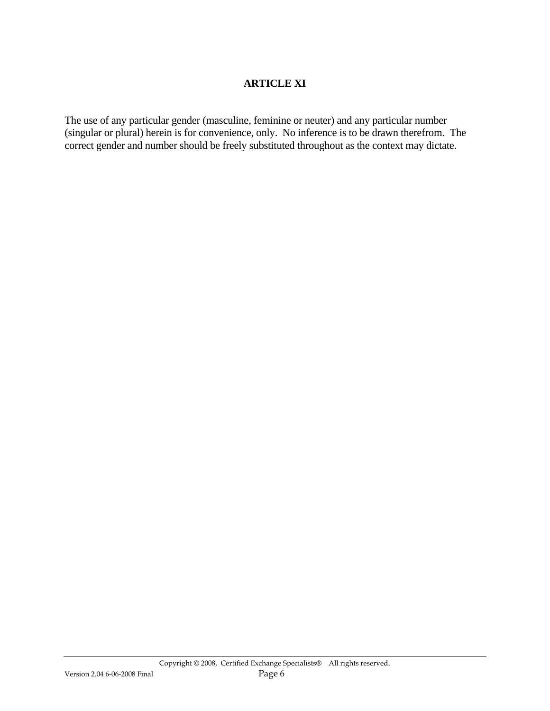#### **ARTICLE XI**

The use of any particular gender (masculine, feminine or neuter) and any particular number (singular or plural) herein is for convenience, only. No inference is to be drawn therefrom. The correct gender and number should be freely substituted throughout as the context may dictate.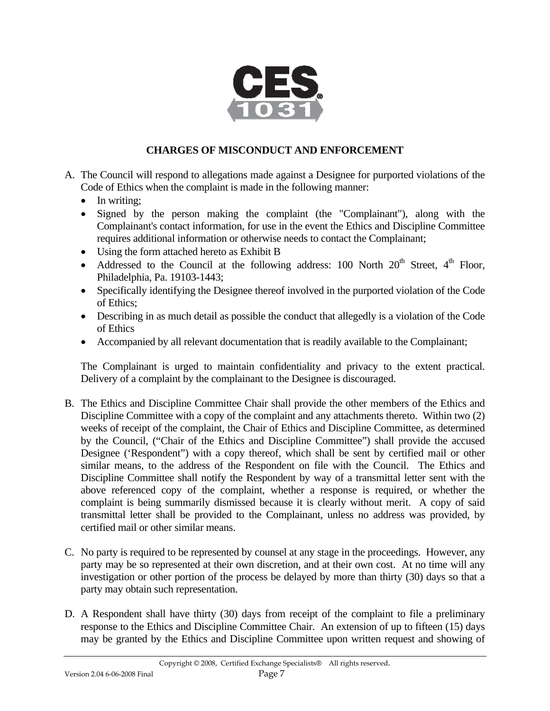

## **CHARGES OF MISCONDUCT AND ENFORCEMENT**

- A. The Council will respond to allegations made against a Designee for purported violations of the Code of Ethics when the complaint is made in the following manner:
	- In writing:
	- Signed by the person making the complaint (the "Complainant"), along with the Complainant's contact information, for use in the event the Ethics and Discipline Committee requires additional information or otherwise needs to contact the Complainant;
	- Using the form attached hereto as Exhibit B
	- Addressed to the Council at the following address: 100 North  $20<sup>th</sup>$  Street,  $4<sup>th</sup>$  Floor, Philadelphia, Pa. 19103-1443;
	- Specifically identifying the Designee thereof involved in the purported violation of the Code of Ethics;
	- Describing in as much detail as possible the conduct that allegedly is a violation of the Code of Ethics
	- Accompanied by all relevant documentation that is readily available to the Complainant;

The Complainant is urged to maintain confidentiality and privacy to the extent practical. Delivery of a complaint by the complainant to the Designee is discouraged.

- B. The Ethics and Discipline Committee Chair shall provide the other members of the Ethics and Discipline Committee with a copy of the complaint and any attachments thereto. Within two (2) weeks of receipt of the complaint, the Chair of Ethics and Discipline Committee, as determined by the Council, ("Chair of the Ethics and Discipline Committee") shall provide the accused Designee ('Respondent") with a copy thereof, which shall be sent by certified mail or other similar means, to the address of the Respondent on file with the Council. The Ethics and Discipline Committee shall notify the Respondent by way of a transmittal letter sent with the above referenced copy of the complaint, whether a response is required, or whether the complaint is being summarily dismissed because it is clearly without merit. A copy of said transmittal letter shall be provided to the Complainant, unless no address was provided, by certified mail or other similar means.
- C. No party is required to be represented by counsel at any stage in the proceedings. However, any party may be so represented at their own discretion, and at their own cost. At no time will any investigation or other portion of the process be delayed by more than thirty (30) days so that a party may obtain such representation.
- D. A Respondent shall have thirty (30) days from receipt of the complaint to file a preliminary response to the Ethics and Discipline Committee Chair. An extension of up to fifteen (15) days may be granted by the Ethics and Discipline Committee upon written request and showing of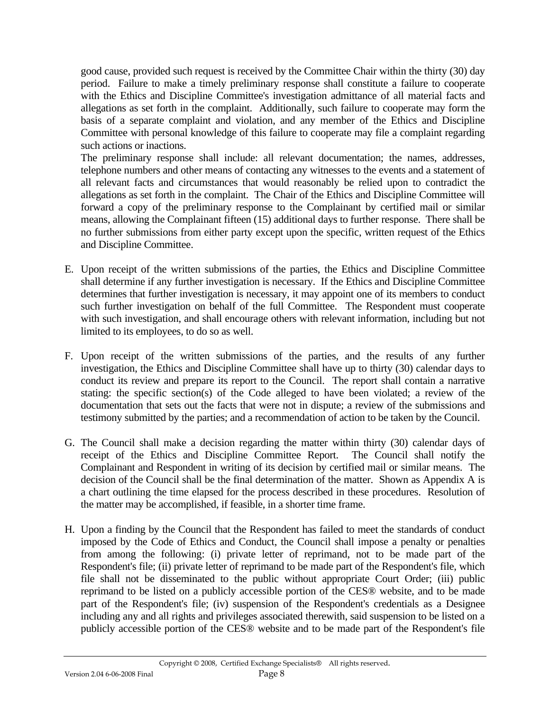good cause, provided such request is received by the Committee Chair within the thirty (30) day period. Failure to make a timely preliminary response shall constitute a failure to cooperate with the Ethics and Discipline Committee's investigation admittance of all material facts and allegations as set forth in the complaint. Additionally, such failure to cooperate may form the basis of a separate complaint and violation, and any member of the Ethics and Discipline Committee with personal knowledge of this failure to cooperate may file a complaint regarding such actions or inactions.

The preliminary response shall include: all relevant documentation; the names, addresses, telephone numbers and other means of contacting any witnesses to the events and a statement of all relevant facts and circumstances that would reasonably be relied upon to contradict the allegations as set forth in the complaint. The Chair of the Ethics and Discipline Committee will forward a copy of the preliminary response to the Complainant by certified mail or similar means, allowing the Complainant fifteen (15) additional days to further response. There shall be no further submissions from either party except upon the specific, written request of the Ethics and Discipline Committee.

- E. Upon receipt of the written submissions of the parties, the Ethics and Discipline Committee shall determine if any further investigation is necessary. If the Ethics and Discipline Committee determines that further investigation is necessary, it may appoint one of its members to conduct such further investigation on behalf of the full Committee. The Respondent must cooperate with such investigation, and shall encourage others with relevant information, including but not limited to its employees, to do so as well.
- F. Upon receipt of the written submissions of the parties, and the results of any further investigation, the Ethics and Discipline Committee shall have up to thirty (30) calendar days to conduct its review and prepare its report to the Council. The report shall contain a narrative stating: the specific section(s) of the Code alleged to have been violated; a review of the documentation that sets out the facts that were not in dispute; a review of the submissions and testimony submitted by the parties; and a recommendation of action to be taken by the Council.
- G. The Council shall make a decision regarding the matter within thirty (30) calendar days of receipt of the Ethics and Discipline Committee Report. The Council shall notify the Complainant and Respondent in writing of its decision by certified mail or similar means. The decision of the Council shall be the final determination of the matter. Shown as Appendix A is a chart outlining the time elapsed for the process described in these procedures. Resolution of the matter may be accomplished, if feasible, in a shorter time frame.
- H. Upon a finding by the Council that the Respondent has failed to meet the standards of conduct imposed by the Code of Ethics and Conduct, the Council shall impose a penalty or penalties from among the following: (i) private letter of reprimand, not to be made part of the Respondent's file; (ii) private letter of reprimand to be made part of the Respondent's file, which file shall not be disseminated to the public without appropriate Court Order; (iii) public reprimand to be listed on a publicly accessible portion of the CES® website, and to be made part of the Respondent's file; (iv) suspension of the Respondent's credentials as a Designee including any and all rights and privileges associated therewith, said suspension to be listed on a publicly accessible portion of the CES® website and to be made part of the Respondent's file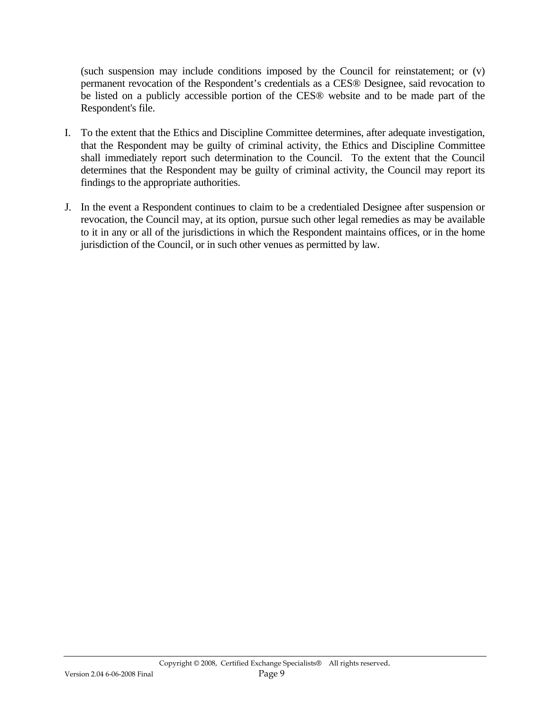(such suspension may include conditions imposed by the Council for reinstatement; or (v) permanent revocation of the Respondent's credentials as a CES® Designee, said revocation to be listed on a publicly accessible portion of the CES® website and to be made part of the Respondent's file.

- I. To the extent that the Ethics and Discipline Committee determines, after adequate investigation, that the Respondent may be guilty of criminal activity, the Ethics and Discipline Committee shall immediately report such determination to the Council. To the extent that the Council determines that the Respondent may be guilty of criminal activity, the Council may report its findings to the appropriate authorities.
- J. In the event a Respondent continues to claim to be a credentialed Designee after suspension or revocation, the Council may, at its option, pursue such other legal remedies as may be available to it in any or all of the jurisdictions in which the Respondent maintains offices, or in the home jurisdiction of the Council, or in such other venues as permitted by law.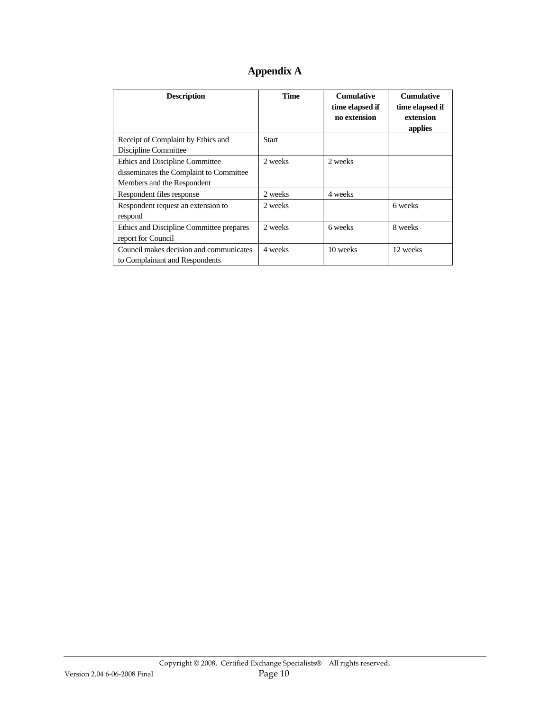| Appendix A |  |  |
|------------|--|--|
|------------|--|--|

| <b>Description</b>                       | <b>Time</b> | <b>Cumulative</b><br>time elapsed if<br>no extension | <b>Cumulative</b><br>time elapsed if<br>extension<br>applies |
|------------------------------------------|-------------|------------------------------------------------------|--------------------------------------------------------------|
| Receipt of Complaint by Ethics and       | Start       |                                                      |                                                              |
| Discipline Committee                     |             |                                                      |                                                              |
| Ethics and Discipline Committee          | 2 weeks     | 2 weeks                                              |                                                              |
| disseminates the Complaint to Committee  |             |                                                      |                                                              |
| Members and the Respondent               |             |                                                      |                                                              |
| Respondent files response                | 2 weeks     | 4 weeks                                              |                                                              |
| Respondent request an extension to       | 2 weeks     |                                                      | 6 weeks                                                      |
| respond                                  |             |                                                      |                                                              |
| Ethics and Discipline Committee prepares | 2 weeks     | 6 weeks                                              | 8 weeks                                                      |
| report for Council                       |             |                                                      |                                                              |
| Council makes decision and communicates  | 4 weeks     | 10 weeks                                             | 12 weeks                                                     |
| to Complainant and Respondents           |             |                                                      |                                                              |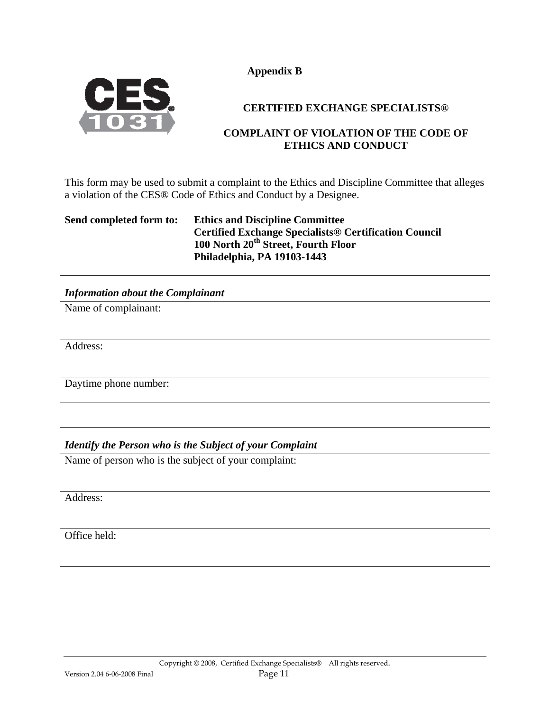**Appendix B** 



#### **CERTIFIED EXCHANGE SPECIALISTS®**

#### **COMPLAINT OF VIOLATION OF THE CODE OF ETHICS AND CONDUCT**

This form may be used to submit a complaint to the Ethics and Discipline Committee that alleges a violation of the CES® Code of Ethics and Conduct by a Designee.

#### **Send completed form to: Ethics and Discipline Committee Certified Exchange Specialists® Certification Council 100 North 20th Street, Fourth Floor Philadelphia, PA 19103-1443**

| <b>Information about the Complainant</b> |
|------------------------------------------|
| Name of complainant:                     |
|                                          |
| Address:                                 |
| Daytime phone number:                    |

### *Identify the Person who is the Subject of your Complaint*

Name of person who is the subject of your complaint:

Address:

Office held: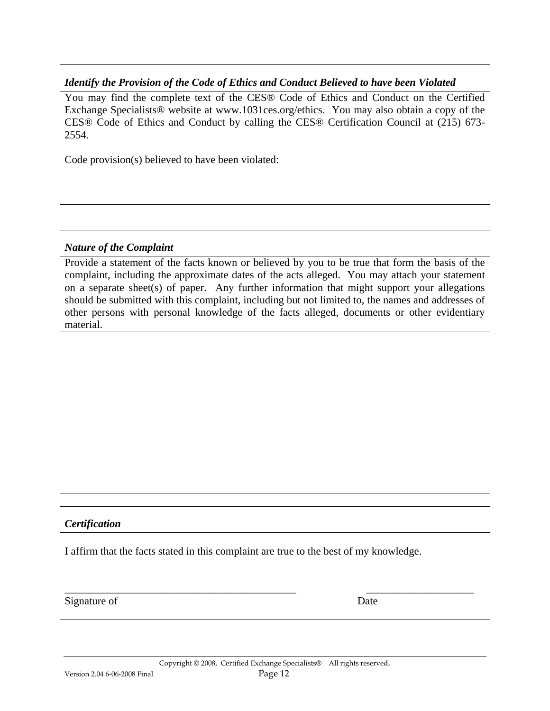#### *Identify the Provision of the Code of Ethics and Conduct Believed to have been Violated*

You may find the complete text of the CES® Code of Ethics and Conduct on the Certified Exchange Specialists® website at www.1031ces.org/ethics. You may also obtain a copy of the CES® Code of Ethics and Conduct by calling the CES® Certification Council at (215) 673- 2554.

Code provision(s) believed to have been violated:

#### *Nature of the Complaint*

Provide a statement of the facts known or believed by you to be true that form the basis of the complaint, including the approximate dates of the acts alleged. You may attach your statement on a separate sheet(s) of paper. Any further information that might support your allegations should be submitted with this complaint, including but not limited to, the names and addresses of other persons with personal knowledge of the facts alleged, documents or other evidentiary material.

#### *Certification*

I affirm that the facts stated in this complaint are true to the best of my knowledge.

Signature of Date

\_\_\_\_\_\_\_\_\_\_\_\_\_\_\_\_\_\_\_\_\_\_\_\_\_\_\_\_\_\_\_\_\_\_\_\_\_\_\_\_\_\_\_ \_\_\_\_\_\_\_\_\_\_\_\_\_\_\_\_\_\_\_\_